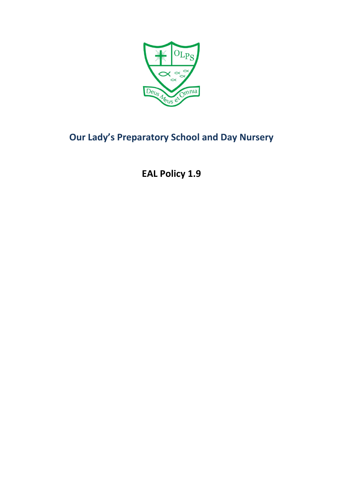

# **Our Lady's Preparatory School and Day Nursery**

**EAL Policy 1.9**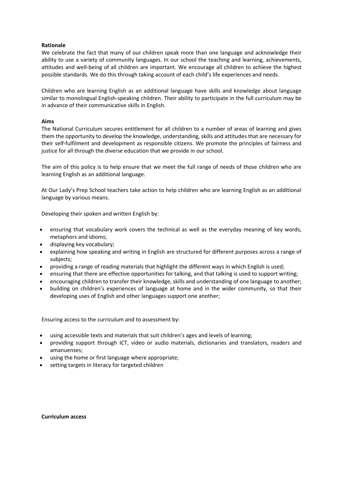## **Rationale**

We celebrate the fact that many of our children speak more than one language and acknowledge their ability to use a variety of community languages. In our school the teaching and learning, achievements, attitudes and well-being of all children are important. We encourage all children to achieve the highest possible standards. We do this through taking account of each child's life experiences and needs.

Children who are learning English as an additional language have skills and knowledge about language similar to monolingual English-speaking children. Their ability to participate in the full curriculum may be in advance of their communicative skills in English.

## **Aims**

The National Curriculum secures entitlement for all children to a number of areas of learning and gives them the opportunity to develop the knowledge, understanding, skills and attitudes that are necessary for their self-fulfilment and development as responsible citizens. We promote the principles of fairness and justice for all through the diverse education that we provide in our school.

The aim of this policy is to help ensure that we meet the full range of needs of those children who are learning English as an additional language.

At Our Lady's Prep School teachers take action to help children who are learning English as an additional language by various means.

Developing their spoken and written English by:

- ensuring that vocabulary work covers the technical as well as the everyday meaning of key words, metaphors and idioms;
- displaying key vocabulary;
- explaining how speaking and writing in English are structured for different purposes across a range of subjects;
- providing a range of reading materials that highlight the different ways in which English is used;
- ensuring that there are effective opportunities for talking, and that talking is used to support writing;
- encouraging children to transfer their knowledge, skills and understanding of one language to another;
- building on children's experiences of language at home and in the wider community, so that their developing uses of English and other languages support one another;

Ensuring access to the curriculum and to assessment by:

- using accessible texts and materials that suit children's ages and levels of learning;
- providing support through ICT, video or audio materials, dictionaries and translators, readers and amanuenses;
- using the home or first language where appropriate;
- setting targets in literacy for targeted children

#### **Curriculum access**